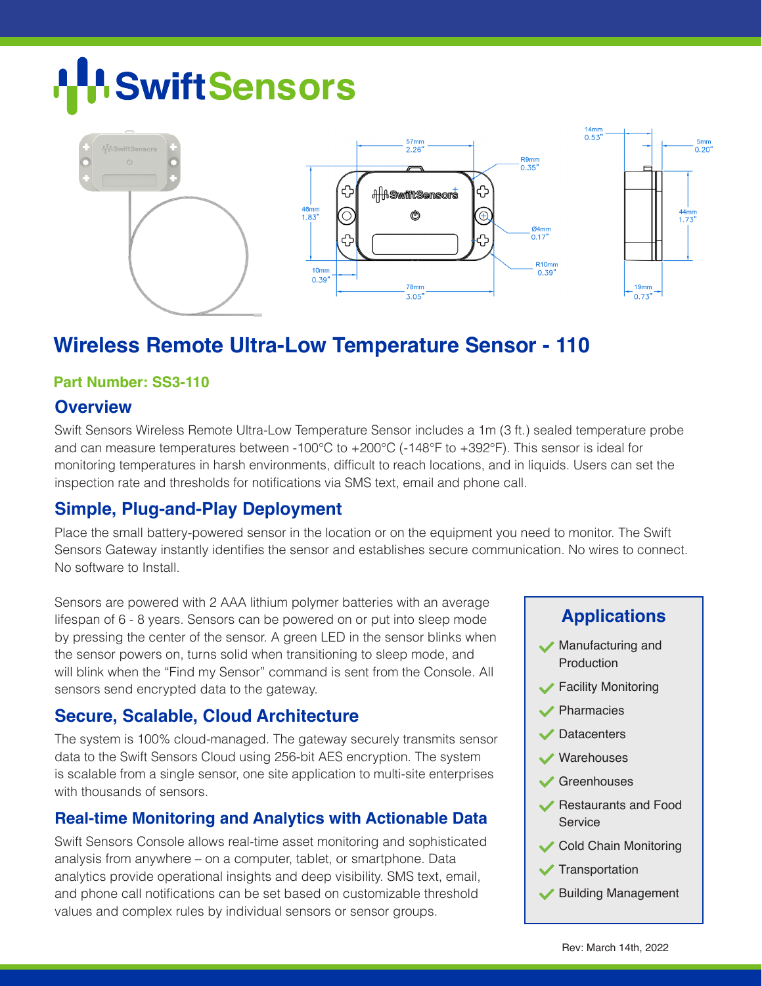# **H**SwiftSensors



# **Wireless Remote Ultra-Low Temperature Sensor - 110**

#### **Part Number: SS3-110**

#### **Overview**

Swift Sensors Wireless Remote Ultra-Low Temperature Sensor includes a 1m (3 ft.) sealed temperature probe and can measure temperatures between -100°C to +200°C (-148°F to +392°F). This sensor is ideal for monitoring temperatures in harsh environments, difficult to reach locations, and in liquids. Users can set the inspection rate and thresholds for notifications via SMS text, email and phone call.

# **Simple, Plug-and-Play Deployment**

Place the small battery-powered sensor in the location or on the equipment you need to monitor. The Swift Sensors Gateway instantly identifies the sensor and establishes secure communication. No wires to connect. No software to Install.

Sensors are powered with 2 AAA lithium polymer batteries with an average lifespan of 6 - 8 years. Sensors can be powered on or put into sleep mode by pressing the center of the sensor. A green LED in the sensor blinks when the sensor powers on, turns solid when transitioning to sleep mode, and will blink when the "Find my Sensor" command is sent from the Console. All sensors send encrypted data to the gateway.

# **Secure, Scalable, Cloud Architecture**

The system is 100% cloud-managed. The gateway securely transmits sensor data to the Swift Sensors Cloud using 256-bit AES encryption. The system is scalable from a single sensor, one site application to multi-site enterprises with thousands of sensors.

# **Real-time Monitoring and Analytics with Actionable Data**

Swift Sensors Console allows real-time asset monitoring and sophisticated analysis from anywhere – on a computer, tablet, or smartphone. Data analytics provide operational insights and deep visibility. SMS text, email, and phone call notifications can be set based on customizable threshold values and complex rules by individual sensors or sensor groups.

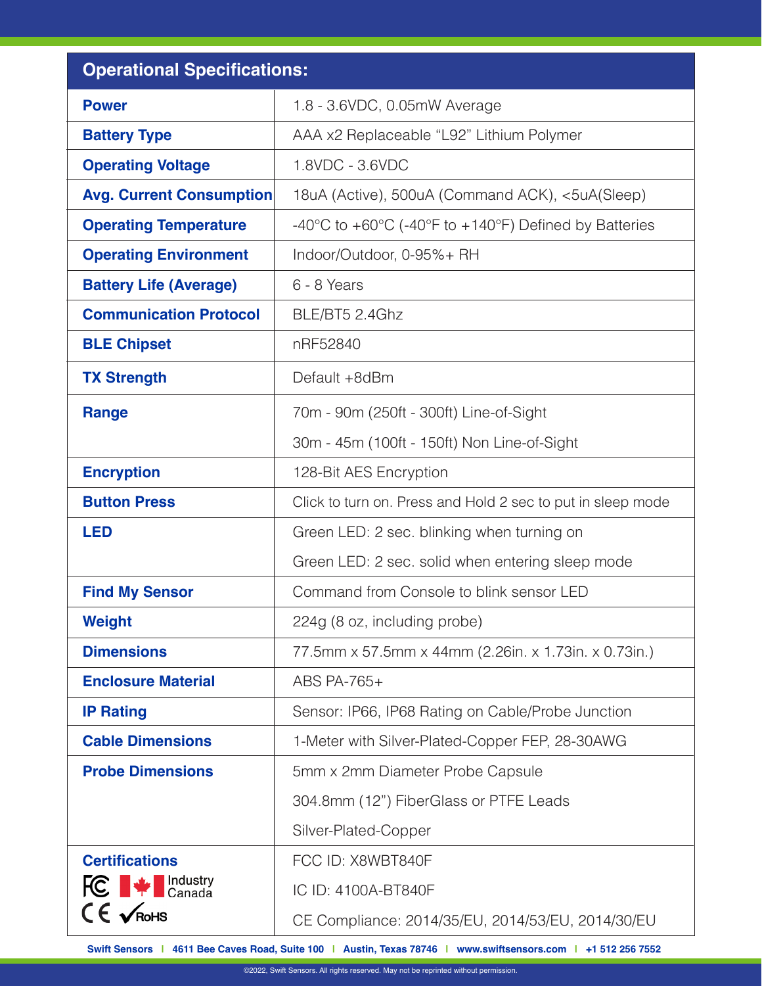| <b>Operational Specifications:</b>               |                                                                                                |
|--------------------------------------------------|------------------------------------------------------------------------------------------------|
| <b>Power</b>                                     | 1.8 - 3.6VDC, 0.05mW Average                                                                   |
| <b>Battery Type</b>                              | AAA x2 Replaceable "L92" Lithium Polymer                                                       |
| <b>Operating Voltage</b>                         | 1.8VDC - 3.6VDC                                                                                |
| <b>Avg. Current Consumption</b>                  | 18uA (Active), 500uA (Command ACK), <5uA(Sleep)                                                |
| <b>Operating Temperature</b>                     | $-40^{\circ}$ C to $+60^{\circ}$ C ( $-40^{\circ}$ F to $+140^{\circ}$ F) Defined by Batteries |
| <b>Operating Environment</b>                     | Indoor/Outdoor, 0-95%+ RH                                                                      |
| <b>Battery Life (Average)</b>                    | 6 - 8 Years                                                                                    |
| <b>Communication Protocol</b>                    | BLE/BT5 2.4Ghz                                                                                 |
| <b>BLE Chipset</b>                               | nRF52840                                                                                       |
| <b>TX Strength</b>                               | Default +8dBm                                                                                  |
| <b>Range</b>                                     | 70m - 90m (250ft - 300ft) Line-of-Sight                                                        |
|                                                  | 30m - 45m (100ft - 150ft) Non Line-of-Sight                                                    |
| <b>Encryption</b>                                | 128-Bit AES Encryption                                                                         |
| <b>Button Press</b>                              | Click to turn on. Press and Hold 2 sec to put in sleep mode                                    |
| <b>LED</b>                                       | Green LED: 2 sec. blinking when turning on                                                     |
|                                                  | Green LED: 2 sec. solid when entering sleep mode                                               |
| <b>Find My Sensor</b>                            | Command from Console to blink sensor LED                                                       |
| <b>Weight</b>                                    | 224g (8 oz, including probe)                                                                   |
| <b>Dimensions</b>                                | 77.5mm x 57.5mm x 44mm (2.26in. x 1.73in. x 0.73in.)                                           |
| <b>Enclosure Material</b>                        | ABS PA-765+                                                                                    |
| <b>IP Rating</b>                                 | Sensor: IP66, IP68 Rating on Cable/Probe Junction                                              |
| <b>Cable Dimensions</b>                          | 1-Meter with Silver-Plated-Copper FEP, 28-30AWG                                                |
| <b>Probe Dimensions</b>                          | 5mm x 2mm Diameter Probe Capsule                                                               |
|                                                  | 304.8mm (12") FiberGlass or PTFE Leads                                                         |
|                                                  | Silver-Plated-Copper                                                                           |
| <b>Certifications</b>                            | FCC ID: X8WBT840F                                                                              |
| <b>FC</b> $\blacktriangleright$ <b>FC</b> Canada | IC ID: 4100A-BT840F                                                                            |
| $C \in \sqrt{\mathsf{RoHS}}$                     | CE Compliance: 2014/35/EU, 2014/53/EU, 2014/30/EU                                              |

**Swift Sensors | 4611 Bee Caves Road, Suite 100 | Austin, Texas 78746 | www.swiftsensors.com | +1 512 256 7552**